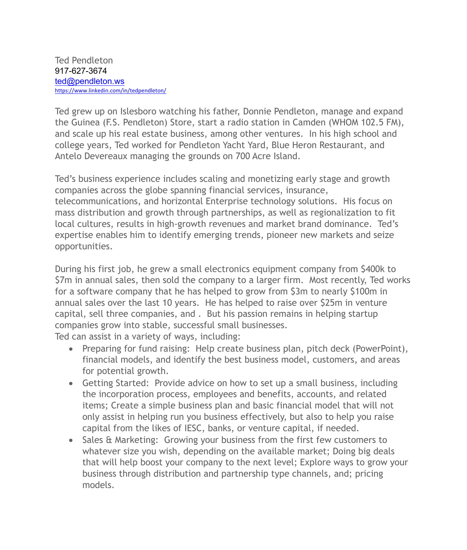Ted grew up on Islesboro watching his father, Donnie Pendleton, manage and expand the Guinea (F.S. Pendleton) Store, start a radio station in Camden (WHOM 102.5 FM), and scale up his real estate business, among other ventures. In his high school and college years, Ted worked for Pendleton Yacht Yard, Blue Heron Restaurant, and Antelo Devereaux managing the grounds on 700 Acre Island.

Ted's business experience includes scaling and monetizing early stage and growth companies across the globe spanning financial services, insurance, telecommunications, and horizontal Enterprise technology solutions. His focus on mass distribution and growth through partnerships, as well as regionalization to fit local cultures, results in high-growth revenues and market brand dominance. Ted's expertise enables him to identify emerging trends, pioneer new markets and seize opportunities.

During his first job, he grew a small electronics equipment company from \$400k to \$7m in annual sales, then sold the company to a larger firm. Most recently, Ted works for a software company that he has helped to grow from \$3m to nearly \$100m in annual sales over the last 10 years. He has helped to raise over \$25m in venture capital, sell three companies, and . But his passion remains in helping startup companies grow into stable, successful small businesses.

Ted can assist in a variety of ways, including:

- Preparing for fund raising: Help create business plan, pitch deck (PowerPoint), financial models, and identify the best business model, customers, and areas for potential growth.
- Getting Started: Provide advice on how to set up a small business, including the incorporation process, employees and benefits, accounts, and related items; Create a simple business plan and basic financial model that will not only assist in helping run you business effectively, but also to help you raise capital from the likes of IESC, banks, or venture capital, if needed.
- Sales & Marketing: Growing your business from the first few customers to whatever size you wish, depending on the available market; Doing big deals that will help boost your company to the next level; Explore ways to grow your business through distribution and partnership type channels, and; pricing models.